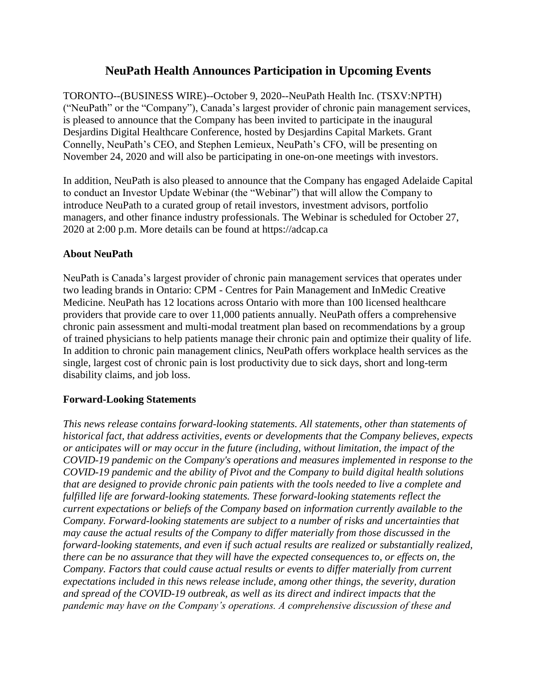## **NeuPath Health Announces Participation in Upcoming Events**

TORONTO--(BUSINESS WIRE)--October 9, 2020--NeuPath Health Inc. (TSXV:NPTH) ("NeuPath" or the "Company"), Canada's largest provider of chronic pain management services, is pleased to announce that the Company has been invited to participate in the inaugural Desjardins Digital Healthcare Conference, hosted by Desjardins Capital Markets. Grant Connelly, NeuPath's CEO, and Stephen Lemieux, NeuPath's CFO, will be presenting on November 24, 2020 and will also be participating in one-on-one meetings with investors.

In addition, NeuPath is also pleased to announce that the Company has engaged Adelaide Capital to conduct an Investor Update Webinar (the "Webinar") that will allow the Company to introduce NeuPath to a curated group of retail investors, investment advisors, portfolio managers, and other finance industry professionals. The Webinar is scheduled for October 27, 2020 at 2:00 p.m. More details can be found at https://adcap.ca

## **About NeuPath**

NeuPath is Canada's largest provider of chronic pain management services that operates under two leading brands in Ontario: CPM - Centres for Pain Management and InMedic Creative Medicine. NeuPath has 12 locations across Ontario with more than 100 licensed healthcare providers that provide care to over 11,000 patients annually. NeuPath offers a comprehensive chronic pain assessment and multi-modal treatment plan based on recommendations by a group of trained physicians to help patients manage their chronic pain and optimize their quality of life. In addition to chronic pain management clinics, NeuPath offers workplace health services as the single, largest cost of chronic pain is lost productivity due to sick days, short and long-term disability claims, and job loss.

## **Forward-Looking Statements**

*This news release contains forward-looking statements. All statements, other than statements of historical fact, that address activities, events or developments that the Company believes, expects or anticipates will or may occur in the future (including, without limitation, the impact of the COVID-19 pandemic on the Company's operations and measures implemented in response to the COVID-19 pandemic and the ability of Pivot and the Company to build digital health solutions that are designed to provide chronic pain patients with the tools needed to live a complete and fulfilled life are forward-looking statements. These forward-looking statements reflect the current expectations or beliefs of the Company based on information currently available to the Company. Forward-looking statements are subject to a number of risks and uncertainties that may cause the actual results of the Company to differ materially from those discussed in the forward-looking statements, and even if such actual results are realized or substantially realized, there can be no assurance that they will have the expected consequences to, or effects on, the Company. Factors that could cause actual results or events to differ materially from current expectations included in this news release include, among other things, the severity, duration and spread of the COVID-19 outbreak, as well as its direct and indirect impacts that the pandemic may have on the Company's operations. A comprehensive discussion of these and*